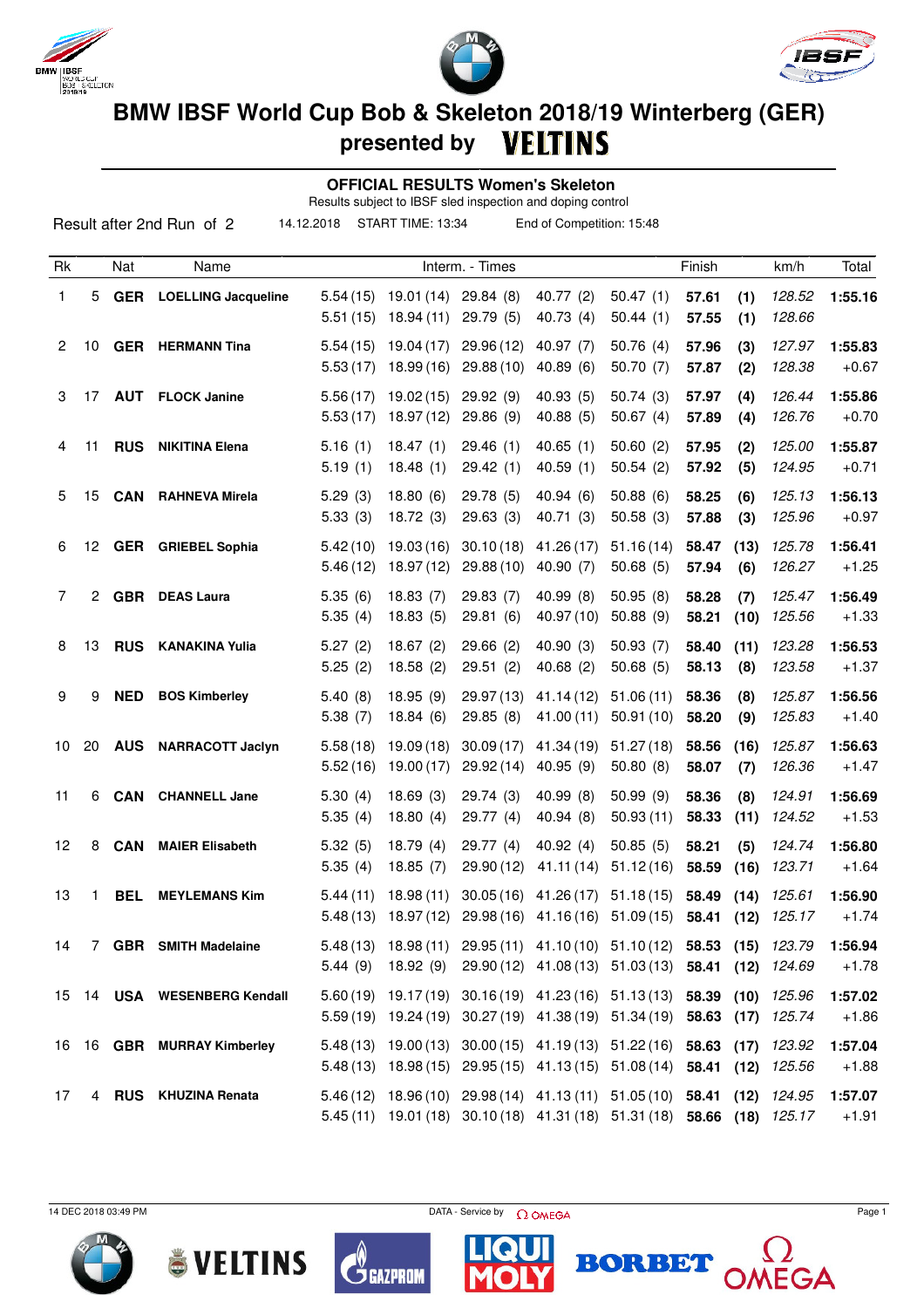





## **BMW IBSF World Cup Bob & Skeleton 2018/19 Winterberg (GER) presented by**

 **OFFICIAL RESULTS Women's Skeleton**

Results subject to IBSF sled inspection and doping control

| Result after 2nd Run of 2<br>14.12.2018<br>START TIME: 13:34<br>End of Competition: 15:48 |    |            |                            |                      |                         |                         |                                                                                                                                             |                        |                |             |                  |                    |
|-------------------------------------------------------------------------------------------|----|------------|----------------------------|----------------------|-------------------------|-------------------------|---------------------------------------------------------------------------------------------------------------------------------------------|------------------------|----------------|-------------|------------------|--------------------|
| Rk                                                                                        |    | Nat        | Name                       |                      |                         | Interm. - Times         |                                                                                                                                             |                        | Finish         |             | km/h             | Total              |
| 1                                                                                         | 5. | GER        | <b>LOELLING Jacqueline</b> | 5.54(15)<br>5.51(15) | 19.01 (14)<br>18.94(11) | 29.84(8)<br>29.79 (5)   | 40.77(2)<br>40.73 (4)                                                                                                                       | 50.47(1)<br>50.44(1)   | 57.61<br>57.55 | (1)<br>(1)  | 128.52<br>128.66 | 1:55.16            |
| 2                                                                                         | 10 |            | <b>GER</b> HERMANN Tina    | 5.54(15)<br>5.53(17) | 19.04(17)<br>18.99(16)  | 29.96(12)<br>29.88 (10) | 40.97 (7)<br>40.89(6)                                                                                                                       | 50.76(4)<br>50.70(7)   | 57.96<br>57.87 | (3)<br>(2)  | 127.97<br>128.38 | 1:55.83<br>$+0.67$ |
| 3                                                                                         | 17 |            | <b>AUT</b> FLOCK Janine    | 5.56(17)<br>5.53(17) | 19.02(15)<br>18.97(12)  | 29.92(9)<br>29.86(9)    | 40.93(5)<br>40.88 (5)                                                                                                                       | 50.74(3)<br>50.67(4)   | 57.97<br>57.89 | (4)<br>(4)  | 126.44<br>126.76 | 1:55.86<br>$+0.70$ |
| 4                                                                                         | 11 | <b>RUS</b> | <b>NIKITINA Elena</b>      | 5.16(1)<br>5.19(1)   | 18.47(1)<br>18.48(1)    | 29.46(1)<br>29.42(1)    | 40.65(1)<br>40.59(1)                                                                                                                        | 50.60(2)<br>50.54(2)   | 57.95<br>57.92 | (2)<br>(5)  | 125.00<br>124.95 | 1:55.87<br>$+0.71$ |
| 5                                                                                         | 15 | <b>CAN</b> | <b>RAHNEVA Mirela</b>      | 5.29(3)<br>5.33(3)   | 18.80(6)<br>18.72(3)    | 29.78 (5)<br>29.63 (3)  | 40.94(6)<br>40.71(3)                                                                                                                        | 50.88(6)<br>50.58(3)   | 58.25<br>57.88 | (6)<br>(3)  | 125.13<br>125.96 | 1:56.13<br>$+0.97$ |
| 6                                                                                         | 12 |            | <b>GER</b> GRIEBEL Sophia  | 5.42(10)<br>5.46(12) | 19.03(16)<br>18.97 (12) | 30.10(18)<br>29.88 (10) | 41.26 (17)<br>40.90 (7)                                                                                                                     | 51.16(14)<br>50.68(5)  | 58.47<br>57.94 | (13)<br>(6) | 125.78<br>126.27 | 1:56.41<br>$+1.25$ |
| 7                                                                                         | 2  | <b>GBR</b> | <b>DEAS Laura</b>          | 5.35(6)<br>5.35(4)   | 18.83(7)<br>18.83(5)    | 29.83 (7)<br>29.81(6)   | 40.99(8)<br>40.97 (10)                                                                                                                      | 50.95(8)<br>50.88(9)   | 58.28<br>58.21 | (7)<br>(10) | 125.47<br>125.56 | 1:56.49<br>$+1.33$ |
| 8                                                                                         | 13 | <b>RUS</b> | <b>KANAKINA Yulia</b>      | 5.27(2)<br>5.25(2)   | 18.67(2)<br>18.58(2)    | 29.66(2)<br>29.51(2)    | 40.90(3)<br>40.68(2)                                                                                                                        | 50.93(7)<br>50.68(5)   | 58.40<br>58.13 | (11)<br>(8) | 123.28<br>123.58 | 1:56.53<br>$+1.37$ |
| 9                                                                                         | 9  | <b>NED</b> | <b>BOS Kimberley</b>       | 5.40(8)<br>5.38(7)   | 18.95(9)<br>18.84(6)    | 29.97 (13)<br>29.85(8)  | 41.14(12)<br>41.00 (11)                                                                                                                     | 51.06(11)<br>50.91(10) | 58.36<br>58.20 | (8)<br>(9)  | 125.87<br>125.83 | 1:56.56<br>$+1.40$ |
| 10                                                                                        | 20 | <b>AUS</b> | <b>NARRACOTT Jaclyn</b>    | 5.58(18)<br>5.52(16) | 19.09(18)<br>19.00 (17) | 30.09(17)<br>29.92 (14) | 41.34 (19)<br>40.95 (9)                                                                                                                     | 51.27(18)<br>50.80(8)  | 58.56<br>58.07 | (16)<br>(7) | 125.87<br>126.36 | 1:56.63<br>$+1.47$ |
| 11                                                                                        | 6  | <b>CAN</b> | <b>CHANNELL Jane</b>       | 5.30(4)<br>5.35(4)   | 18.69(3)<br>18.80(4)    | 29.74(3)<br>29.77 (4)   | 40.99(8)<br>40.94 (8)                                                                                                                       | 50.99(9)<br>50.93(11)  | 58.36<br>58.33 | (8)<br>(11) | 124.91<br>124.52 | 1:56.69<br>$+1.53$ |
| 12                                                                                        | 8  | <b>CAN</b> | <b>MAIER Elisabeth</b>     | 5.32(5)<br>5.35(4)   | 18.79(4)<br>18.85(7)    | 29.77(4)<br>29.90 (12)  | 40.92(4)<br>41.11(14)                                                                                                                       | 50.85(5)<br>51.12(16)  | 58.21<br>58.59 | (5)<br>(16) | 124.74<br>123.71 | 1:56.80<br>$+1.64$ |
| 13                                                                                        | 1  | <b>BEL</b> | <b>MEYLEMANS Kim</b>       | 5.44(11)             | 18.98(11)               | 30.05(16)               | 41.26 (17)<br>5.48 (13) 18.97 (12) 29.98 (16) 41.16 (16) 51.09 (15) 58.41 (12) 125.17                                                       | 51.18(15)              | 58.49          | (14)        | 125.61           | 1:56.90<br>$+1.74$ |
| 14                                                                                        |    |            | 7 GBR SMITH Madelaine      | 5.44(9)              | 18.92(9)                |                         | 5.48 (13) 18.98 (11) 29.95 (11) 41.10 (10) 51.10 (12) 58.53 (15)<br>29.90 (12) 41.08 (13) 51.03 (13) 58.41 (12)                             |                        |                |             | 123.79<br>124.69 | 1:56.94<br>$+1.78$ |
| 15                                                                                        |    |            | 14 USA WESENBERG Kendall   |                      |                         |                         | 5.60 (19) 19.17 (19) 30.16 (19) 41.23 (16) 51.13 (13) 58.39 (10)<br>5.59 (19) 19.24 (19) 30.27 (19) 41.38 (19) 51.34 (19) 58.63 (17) 125.74 |                        |                |             | 125.96           | 1:57.02<br>$+1.86$ |
|                                                                                           |    |            | 16 16 GBR MURRAY Kimberley |                      |                         |                         | 5.48 (13) 19.00 (13) 30.00 (15) 41.19 (13) 51.22 (16) 58.63 (17)<br>5.48 (13) 18.98 (15) 29.95 (15) 41.13 (15) 51.08 (14) 58.41 (12)        |                        |                |             | 123.92<br>125.56 | 1:57.04<br>$+1.88$ |
| 17                                                                                        |    |            | 4 RUS KHUZINA Renata       |                      |                         |                         | 5.46 (12) 18.96 (10) 29.98 (14) 41.13 (11) 51.05 (10) 58.41 (12)<br>5.45 (11) 19.01 (18) 30.10 (18) 41.31 (18) 51.31 (18) 58.66 (18)        |                        |                |             | 124.95<br>125.17 | 1:57.07<br>$+1.91$ |

14 DEC 2018 03:49 PM  $\bigcap_{n=1}^{\infty}$  Page 1











**NEGA**